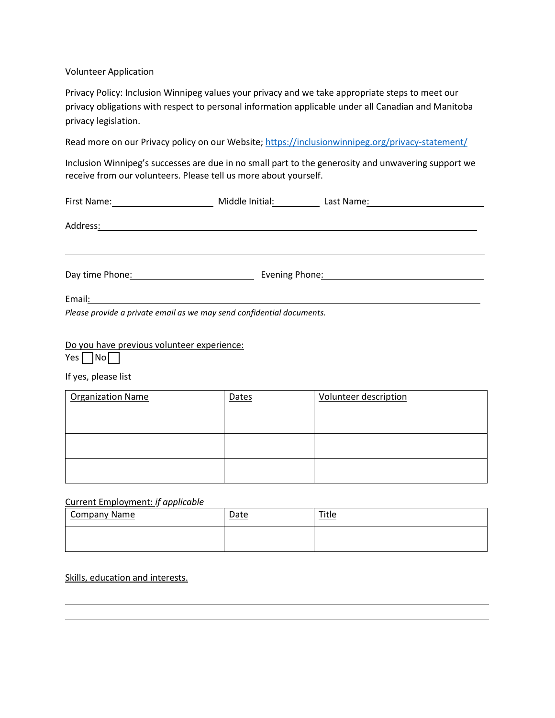Volunteer Application

Privacy Policy: Inclusion Winnipeg values your privacy and we take appropriate steps to meet our privacy obligations with respect to personal information applicable under all Canadian and Manitoba privacy legislation.

Read more on our Privacy policy on our Website;<https://inclusionwinnipeg.org/privacy-statement/>

Inclusion Winnipeg's successes are due in no small part to the generosity and unwavering support we receive from our volunteers. Please tell us more about yourself.

| First Name: Name: Name and Security Assembly Management of the United States and Security Assembly                                                                                                                             | Middle Initial: |  |  |
|--------------------------------------------------------------------------------------------------------------------------------------------------------------------------------------------------------------------------------|-----------------|--|--|
| Address: No. 2020 September 2020 September 2020 September 2020 September 2020 September 2020 September 2020 September 2020 September 2020 September 2020 September 2020 September 2020 September 2020 September 2020 September |                 |  |  |
| Day time Phone: 2000                                                                                                                                                                                                           |                 |  |  |
|                                                                                                                                                                                                                                |                 |  |  |
| Please provide a private email as we may send confidential documents.                                                                                                                                                          |                 |  |  |

Do you have previous volunteer experience:

Yes No

If yes, please list

| <b>Organization Name</b> | Dates | <b>Volunteer description</b> |
|--------------------------|-------|------------------------------|
|                          |       |                              |
|                          |       |                              |
|                          |       |                              |

## Current Employment: *if applicable*

| <b>Company Name</b> | Date | <b>Title</b> |
|---------------------|------|--------------|
|                     |      |              |

## Skills, education and interests.